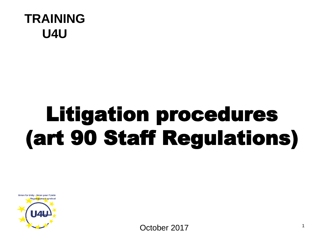

# Litigation procedures (art 90 Staff Regulations)



<sup>1</sup> October 2017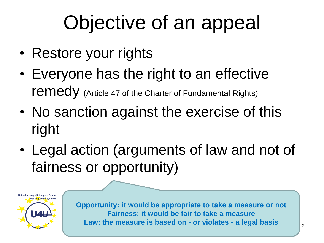# Objective of an appeal

- Restore your rights
- Everyone has the right to an effective remedy (Article 47 of the Charter of Fundamental Rights)
- No sanction against the exercise of this right
- Legal action (arguments of law and not of fairness or opportunity)



**Opportunity: it would be appropriate to take a measure or not Fairness: it would be fair to take a measure Law: the measure is based on - or violates - a legal basis**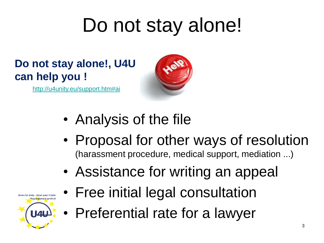# Do not stay alone!

#### **Do not stay alone!, U4U can help you !**

<http://u4unity.eu/support.htm#ai>



- Analysis of the file
- Proposal for other ways of resolution (harassment procedure, medical support, mediation ...)
- Assistance for writing an appeal
- Union for Unity Union pour l'Unité Regroupement syndical **U44**
- Free initial legal consultation
- Preferential rate for a lawyer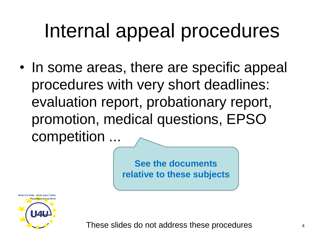#### Internal appeal procedures

• In some areas, there are specific appeal procedures with very short deadlines: evaluation report, probationary report, promotion, medical questions, EPSO competition ...

> **See the documents relative to these subjects**



These slides do not address these procedures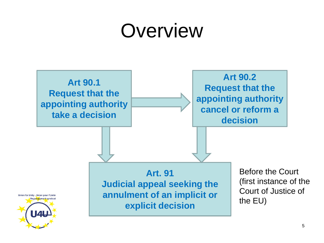#### **Overview**

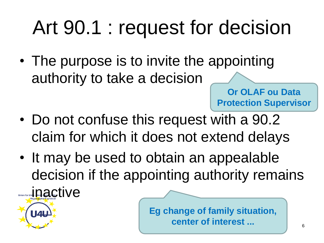# Art 90.1 : request for decision

• The purpose is to invite the appointing authority to take a decision

**Or OLAF ou Data Protection Supervisor**

- Do not confuse this request with a 90.2 claim for which it does not extend delays
- It may be used to obtain an appealable decision if the appointing authority remains Union for Unit Dactive

**U4U** 

**Eg change of family situation, center of interest ...**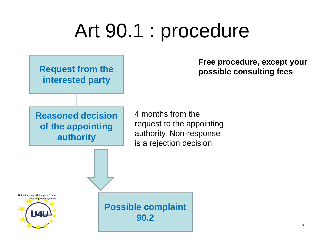#### Art 90.1 : procedure

**Request from the interested party**

**Reasoned decision** 

**of the appointing** 

**authority**

**Free procedure, except your possible consulting fees**

4 months from the request to the appointing authority. Non-response is a rejection decision.

Union for Unity - Union pour l'Unité Regroupement syndica <u>|| 41</u>

**Possible complaint 90.2**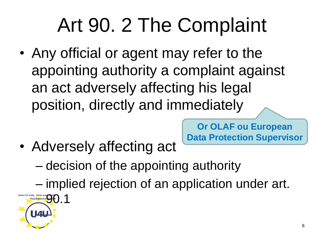# Art 90. 2 The Complaint

• Any official or agent may refer to the appointing authority a complaint against an act adversely affecting his legal position, directly and immediately

> **Or OLAF ou European Data Protection Supervisor**

• Adversely affecting act

– decision of the appointing authority

– implied rejection of an application under art.

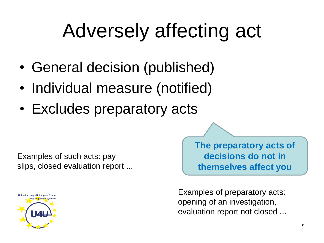# Adversely affecting act

- General decision (published)
- Individual measure (notified)
- Excludes preparatory acts

Examples of such acts: pay slips, closed evaluation report ...



**The preparatory acts of decisions do not in themselves affect you**

Examples of preparatory acts: opening of an investigation, evaluation report not closed ...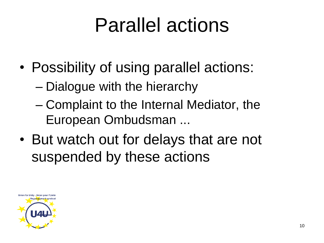# Parallel actions

- Possibility of using parallel actions:
	- Dialogue with the hierarchy
	- Complaint to the Internal Mediator, the European Ombudsman ...
- But watch out for delays that are not suspended by these actions

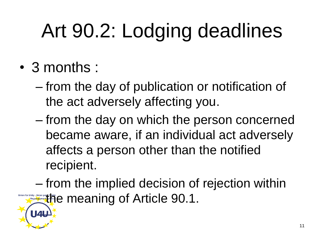# Art 90.2: Lodging deadlines

• 3 months :

**144** 

- from the day of publication or notification of the act adversely affecting you.
- from the day on which the person concerned became aware, if an individual act adversely affects a person other than the notified recipient.

– from the implied decision of rejection within **The meaning of Article 90.1.**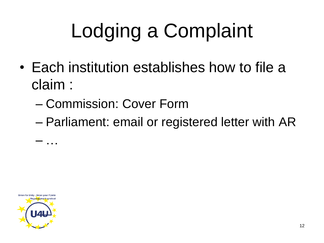# Lodging a Complaint

- Each institution establishes how to file a claim :
	- Commission: Cover Form
	- Parliament: email or registered letter with AR



– …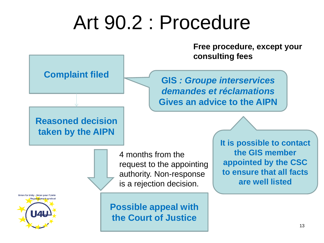#### Art 90.2 : Procedure

**Free procedure, except your consulting fees**

**Complaint filed**

**Reasoned decision taken by the AIPN**

**GIS** *: Groupe interservices demandes et réclamations* **Gives an advice to the AIPN**

4 months from the request to the appointing authority. Non-response is a rejection decision.

Union for Unity - Union pour l'Unité Rearoupement syndic  $\mathbf{L}$ 

**Possible appeal with the Court of Justice**

**It is possible to contact the GIS member appointed by the CSC to ensure that all facts are well listed**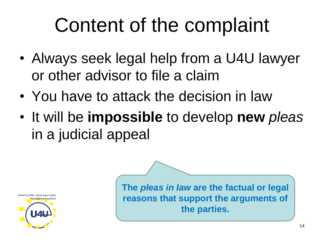# Content of the complaint

- Always seek legal help from a U4U lawyer or other advisor to file a claim
- You have to attack the decision in law
- It will be **impossible** to develop **new** *pleas*  in a judicial appeal



**The** *pleas in law* **are the factual or legal reasons that support the arguments of the parties.**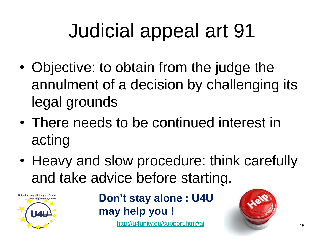# Judicial appeal art 91

- Objective: to obtain from the judge the annulment of a decision by challenging its legal grounds
- There needs to be continued interest in acting
- Heavy and slow procedure: think carefully and take advice before startin[g.](http://u4unity.eu/support.htm#ai)



**Don't stay alone : U4U may help you !**

<http://u4unity.eu/support.htm#ai>

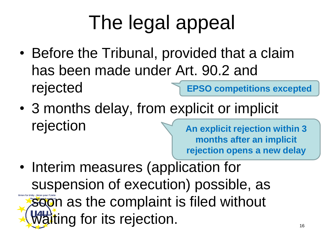# The legal appeal

- Before the Tribunal, provided that a claim has been made under Art. 90.2 and rejected **EPSO competitions excepted**
- 3 months delay, from explicit or implicit rejection

**An explicit rejection within 3 months after an implicit rejection opens a new delay**

• Interim measures (application for suspension of execution) possible, as soon as the complaint is filed without **Waiting for its rejection.**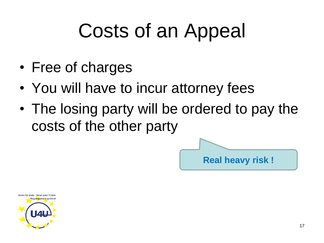## Costs of an Appeal

- Free of charges
- You will have to incur attorney fees
- The losing party will be ordered to pay the costs of the other party

**Real heavy risk !**

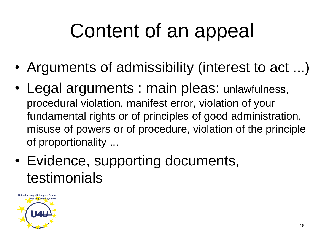# Content of an appeal

- Arguments of admissibility (interest to act ...)
- Legal arguments : main pleas: unlawfulness, procedural violation, manifest error, violation of your fundamental rights or of principles of good administration, misuse of powers or of procedure, violation of the principle of proportionality ...
- Evidence, supporting documents, testimonials

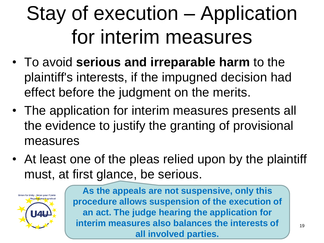# Stay of execution – Application for interim measures

- To avoid **serious and irreparable harm** to the plaintiff's interests, if the impugned decision had effect before the judgment on the merits.
- The application for interim measures presents all the evidence to justify the granting of provisional measures
- At least one of the pleas relied upon by the plaintiff must, at first glance, be serious.



**As the appeals are not suspensive, only this procedure allows suspension of the execution of an act. The judge hearing the application for interim measures also balances the interests of all involved parties.**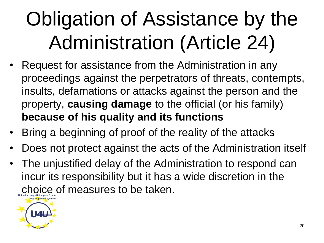# Obligation of Assistance by the Administration (Article 24)

- Request for assistance from the Administration in any proceedings against the perpetrators of threats, contempts, insults, defamations or attacks against the person and the property, **causing damage** to the official (or his family) **because of his quality and its functions**
- Bring a beginning of proof of the reality of the attacks
- Does not protect against the acts of the Administration itself
- The unjustified delay of the Administration to respond can incur its responsibility but it has a wide discretion in the choice of measures to be taken.

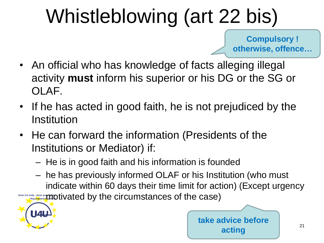# Whistleblowing (art 22 bis)

**Compulsory ! otherwise, offence…**

- An official who has knowledge of facts alleging illegal activity **must** inform his superior or his DG or the SG or OLAF.
- If he has acted in good faith, he is not prejudiced by the Institution
- He can forward the information (Presidents of the Institutions or Mediator) if:
	- He is in good faith and his information is founded
	- he has previously informed OLAF or his Institution (who must indicate within 60 days their time limit for action) (Except urgency  $\frac{1}{\sqrt{\frac{1}{\sqrt{\frac{1}{\sqrt{\frac{1}{\sqrt{\frac{1}{\sqrt{\frac{1}{\sqrt{\frac{1}{\sqrt{\frac{1}{\sqrt{\frac{1}{\sqrt{\frac{1}{\sqrt{\frac{1}{\sqrt{\frac{1}{\sqrt{\frac{1}{\sqrt{\frac{1}{\sqrt{\frac{1}{\sqrt{\frac{1}{\sqrt{\frac{1}{\sqrt{\frac{1}{\sqrt{\frac{1}{\sqrt{\frac{1}{\sqrt{\frac{1}{\sqrt{\frac{1}{\sqrt{\frac{1}{\sqrt{\frac{1}{\sqrt{\frac{1}{\sqrt{\frac{1}{\sqrt{\frac{1}{\sqrt{\frac{1}{\sqrt{\frac{1}{\sqrt{\frac{1}{\sqrt{\frac{1}{\sqrt{\frac{$